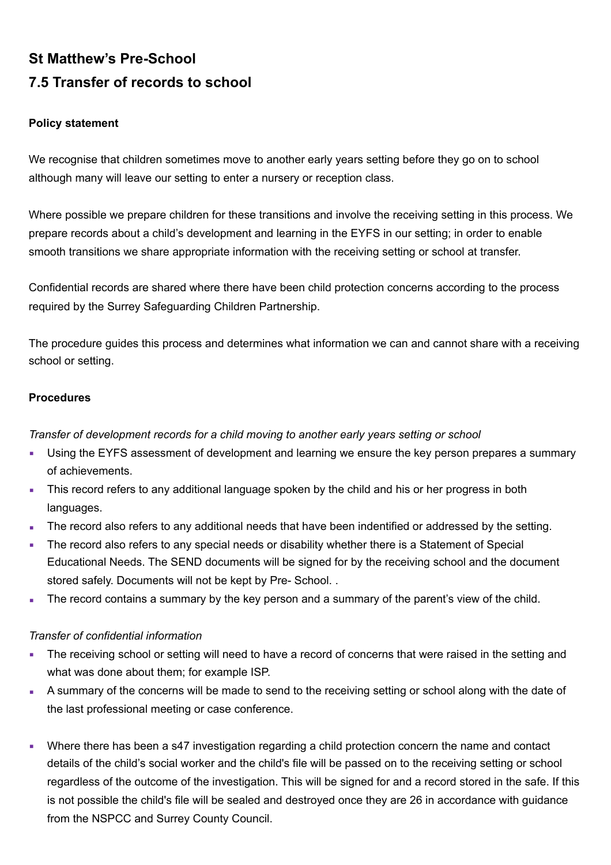## **St Matthew's Pre-School 7.5 Transfer of records to school**

## **Policy statement**

We recognise that children sometimes move to another early years setting before they go on to school although many will leave our setting to enter a nursery or reception class.

Where possible we prepare children for these transitions and involve the receiving setting in this process. We prepare records about a child's development and learning in the EYFS in our setting; in order to enable smooth transitions we share appropriate information with the receiving setting or school at transfer.

Confidential records are shared where there have been child protection concerns according to the process required by the Surrey Safeguarding Children Partnership.

The procedure guides this process and determines what information we can and cannot share with a receiving school or setting.

## **Procedures**

*Transfer of development records for a child moving to another early years setting or school* 

- Using the EYFS assessment of development and learning we ensure the key person prepares a summary of achievements.
- This record refers to any additional language spoken by the child and his or her progress in both languages.
- The record also refers to any additional needs that have been indentified or addressed by the setting.
- The record also refers to any special needs or disability whether there is a Statement of Special Educational Needs. The SEND documents will be signed for by the receiving school and the document stored safely. Documents will not be kept by Pre- School. .
- The record contains a summary by the key person and a summary of the parent's view of the child.

## *Transfer of confidential information*

- The receiving school or setting will need to have a record of concerns that were raised in the setting and what was done about them; for example ISP.
- A summary of the concerns will be made to send to the receiving setting or school along with the date of the last professional meeting or case conference.
- Where there has been a s47 investigation regarding a child protection concern the name and contact details of the child's social worker and the child's file will be passed on to the receiving setting or school regardless of the outcome of the investigation. This will be signed for and a record stored in the safe. If this is not possible the child's file will be sealed and destroyed once they are 26 in accordance with guidance from the NSPCC and Surrey County Council.